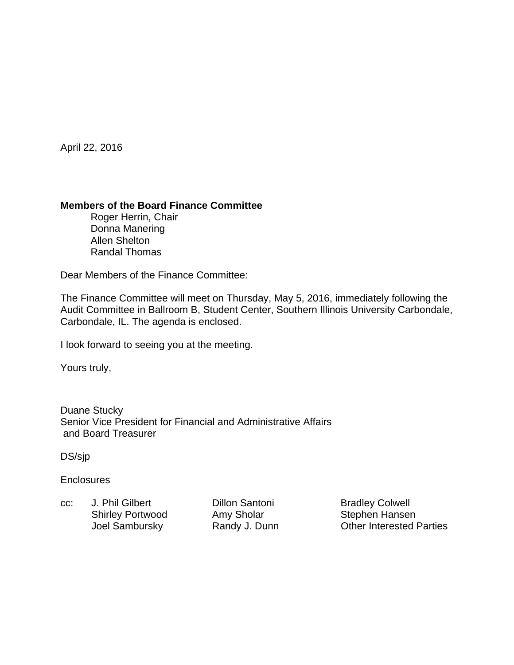April 22, 2016

### **Members of the Board Finance Committee**

 Roger Herrin, Chair Donna Manering Allen Shelton Randal Thomas

Dear Members of the Finance Committee:

The Finance Committee will meet on Thursday, May 5, 2016, immediately following the Audit Committee in Ballroom B, Student Center, Southern Illinois University Carbondale, Carbondale, IL. The agenda is enclosed.

I look forward to seeing you at the meeting.

Yours truly,

Duane Stucky Senior Vice President for Financial and Administrative Affairs and Board Treasurer

DS/sjp

**Enclosures** 

cc: J. Phil Gilbert Dillon Santoni Bradley Colwell Shirley Portwood Amy Sholar Stephen Hansen

Joel Sambursky **Randy J. Dunn** Other Interested Parties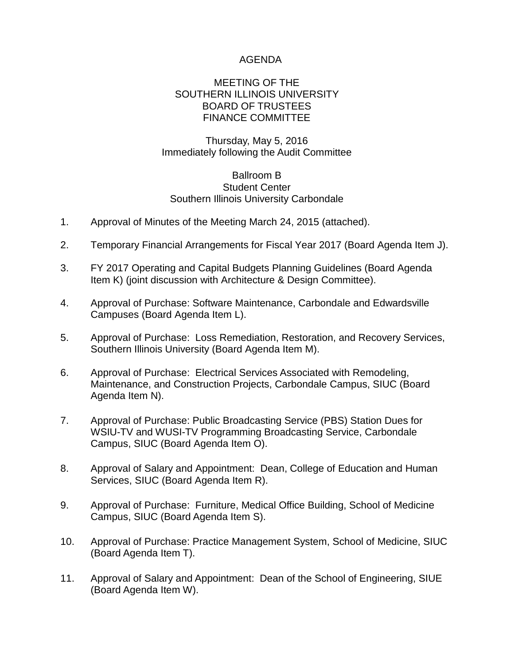## AGENDA

#### MEETING OF THE SOUTHERN ILLINOIS UNIVERSITY BOARD OF TRUSTEES FINANCE COMMITTEE

## Thursday, May 5, 2016 Immediately following the Audit Committee

#### Ballroom B Student Center Southern Illinois University Carbondale

- 1. Approval of Minutes of the Meeting March 24, 2015 (attached).
- 2. Temporary Financial Arrangements for Fiscal Year 2017 (Board Agenda Item J).
- 3. FY 2017 Operating and Capital Budgets Planning Guidelines (Board Agenda Item K) (joint discussion with Architecture & Design Committee).
- 4. Approval of Purchase: Software Maintenance, Carbondale and Edwardsville Campuses (Board Agenda Item L).
- 5. Approval of Purchase: Loss Remediation, Restoration, and Recovery Services, Southern Illinois University (Board Agenda Item M).
- 6. Approval of Purchase: Electrical Services Associated with Remodeling, Maintenance, and Construction Projects, Carbondale Campus, SIUC (Board Agenda Item N).
- 7. Approval of Purchase: Public Broadcasting Service (PBS) Station Dues for WSIU-TV and WUSI-TV Programming Broadcasting Service, Carbondale Campus, SIUC (Board Agenda Item O).
- 8. Approval of Salary and Appointment: Dean, College of Education and Human Services, SIUC (Board Agenda Item R).
- 9. Approval of Purchase: Furniture, Medical Office Building, School of Medicine Campus, SIUC (Board Agenda Item S).
- 10. Approval of Purchase: Practice Management System, School of Medicine, SIUC (Board Agenda Item T).
- 11. Approval of Salary and Appointment: Dean of the School of Engineering, SIUE (Board Agenda Item W).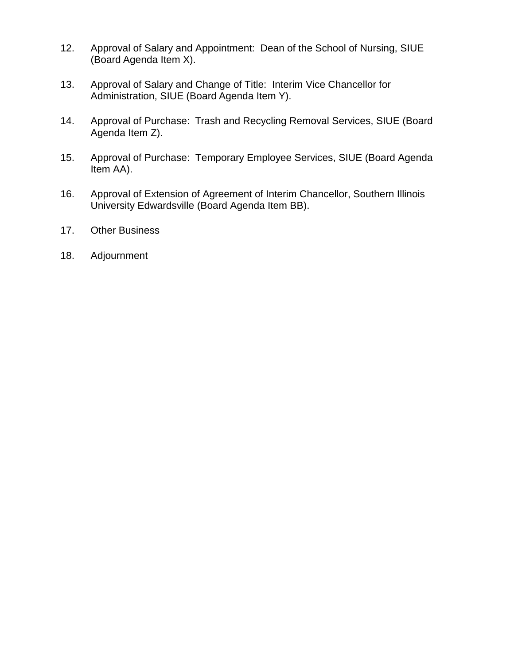- 12. Approval of Salary and Appointment: Dean of the School of Nursing, SIUE (Board Agenda Item X).
- 13. Approval of Salary and Change of Title: Interim Vice Chancellor for Administration, SIUE (Board Agenda Item Y).
- 14. Approval of Purchase: Trash and Recycling Removal Services, SIUE (Board Agenda Item Z).
- 15. Approval of Purchase: Temporary Employee Services, SIUE (Board Agenda Item AA).
- 16. Approval of Extension of Agreement of Interim Chancellor, Southern Illinois University Edwardsville (Board Agenda Item BB).
- 17. Other Business
- 18. Adjournment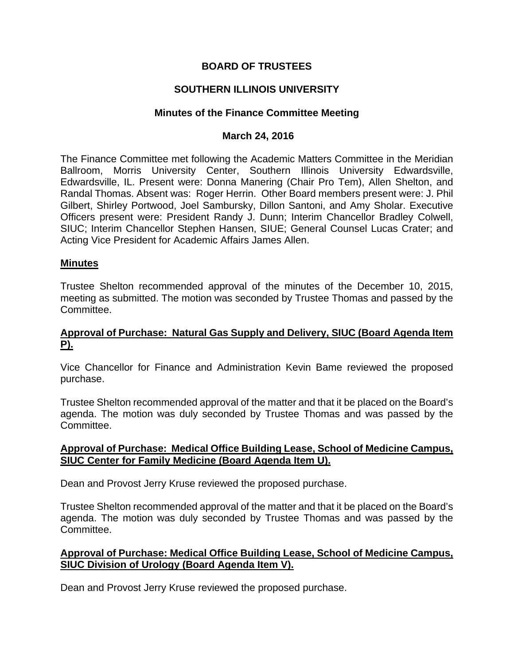# **BOARD OF TRUSTEES**

# **SOUTHERN ILLINOIS UNIVERSITY**

#### **Minutes of the Finance Committee Meeting**

#### **March 24, 2016**

The Finance Committee met following the Academic Matters Committee in the Meridian Ballroom, Morris University Center, Southern Illinois University Edwardsville, Edwardsville, IL. Present were: Donna Manering (Chair Pro Tem), Allen Shelton, and Randal Thomas. Absent was: Roger Herrin. Other Board members present were: J. Phil Gilbert, Shirley Portwood, Joel Sambursky, Dillon Santoni, and Amy Sholar. Executive Officers present were: President Randy J. Dunn; Interim Chancellor Bradley Colwell, SIUC; Interim Chancellor Stephen Hansen, SIUE; General Counsel Lucas Crater; and Acting Vice President for Academic Affairs James Allen.

#### **Minutes**

Trustee Shelton recommended approval of the minutes of the December 10, 2015, meeting as submitted. The motion was seconded by Trustee Thomas and passed by the Committee.

#### **Approval of Purchase: Natural Gas Supply and Delivery, SIUC (Board Agenda Item P).**

Vice Chancellor for Finance and Administration Kevin Bame reviewed the proposed purchase.

Trustee Shelton recommended approval of the matter and that it be placed on the Board's agenda. The motion was duly seconded by Trustee Thomas and was passed by the Committee.

### **Approval of Purchase: Medical Office Building Lease, School of Medicine Campus, SIUC Center for Family Medicine (Board Agenda Item U).**

Dean and Provost Jerry Kruse reviewed the proposed purchase.

Trustee Shelton recommended approval of the matter and that it be placed on the Board's agenda. The motion was duly seconded by Trustee Thomas and was passed by the Committee.

### **Approval of Purchase: Medical Office Building Lease, School of Medicine Campus, SIUC Division of Urology (Board Agenda Item V).**

Dean and Provost Jerry Kruse reviewed the proposed purchase.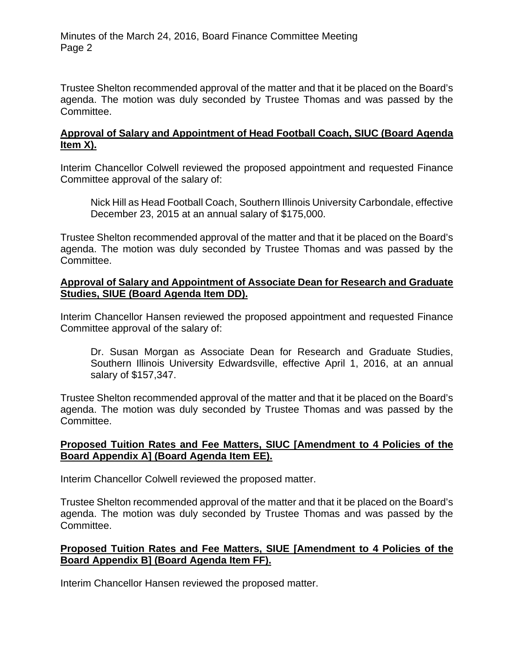Minutes of the March 24, 2016, Board Finance Committee Meeting Page 2

Trustee Shelton recommended approval of the matter and that it be placed on the Board's agenda. The motion was duly seconded by Trustee Thomas and was passed by the Committee.

### **Approval of Salary and Appointment of Head Football Coach, SIUC (Board Agenda Item X).**

Interim Chancellor Colwell reviewed the proposed appointment and requested Finance Committee approval of the salary of:

 Nick Hill as Head Football Coach, Southern Illinois University Carbondale, effective December 23, 2015 at an annual salary of \$175,000.

Trustee Shelton recommended approval of the matter and that it be placed on the Board's agenda. The motion was duly seconded by Trustee Thomas and was passed by the Committee.

## **Approval of Salary and Appointment of Associate Dean for Research and Graduate Studies, SIUE (Board Agenda Item DD).**

Interim Chancellor Hansen reviewed the proposed appointment and requested Finance Committee approval of the salary of:

 Dr. Susan Morgan as Associate Dean for Research and Graduate Studies, Southern Illinois University Edwardsville, effective April 1, 2016, at an annual salary of \$157,347.

Trustee Shelton recommended approval of the matter and that it be placed on the Board's agenda. The motion was duly seconded by Trustee Thomas and was passed by the Committee.

# **Proposed Tuition Rates and Fee Matters, SIUC [Amendment to 4 Policies of the Board Appendix A] (Board Agenda Item EE).**

Interim Chancellor Colwell reviewed the proposed matter.

Trustee Shelton recommended approval of the matter and that it be placed on the Board's agenda. The motion was duly seconded by Trustee Thomas and was passed by the Committee.

# **Proposed Tuition Rates and Fee Matters, SIUE [Amendment to 4 Policies of the Board Appendix B] (Board Agenda Item FF).**

Interim Chancellor Hansen reviewed the proposed matter.